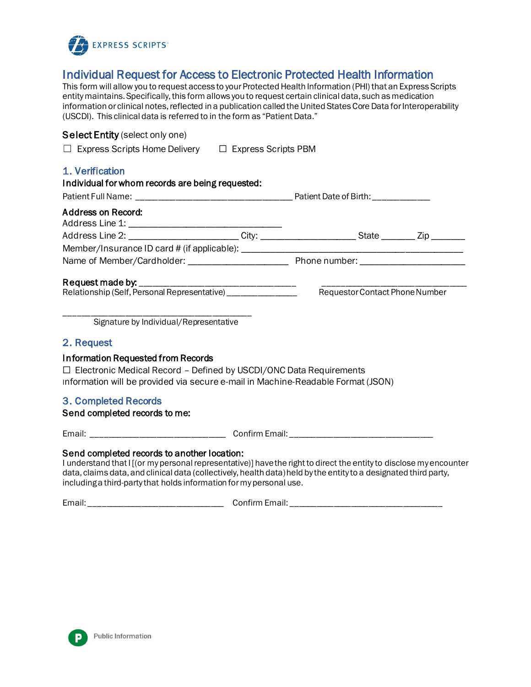

## Individual Request for Access to Electronic Protected Health Information

This form will allow you to request access to your Protected Health Information (PHI) that an Express Scripts entity maintains. Specifically, this form allows you to request certain clinical data, such as medication information or clinical notes, reflected in a publication called the United States Core Data for Interoperability (USCDI). This clinical data is referred to in the form as "Patient Data."

## Select Entity (select only one)

| $\Box$ Express Scripts Home Delivery | $\Box$ Express Scripts PBM |
|--------------------------------------|----------------------------|
|                                      |                            |

| 1. Verification<br>Individual for whom records are being requested:                                                                                                                                 |                                |  |  |
|-----------------------------------------------------------------------------------------------------------------------------------------------------------------------------------------------------|--------------------------------|--|--|
|                                                                                                                                                                                                     |                                |  |  |
| Address on Record:                                                                                                                                                                                  |                                |  |  |
| Address Line 2: __________________________City: _______________________State _________Zip _________                                                                                                 |                                |  |  |
|                                                                                                                                                                                                     |                                |  |  |
|                                                                                                                                                                                                     |                                |  |  |
| Signature by Individual/Representative                                                                                                                                                              | Requestor Contact Phone Number |  |  |
| 2. Request                                                                                                                                                                                          |                                |  |  |
| Information Requested from Records<br>$\Box$ Electronic Medical Record - Defined by USCDI/ONC Data Requirements<br>Information will be provided via secure e-mail in Machine-Readable Format (JSON) |                                |  |  |
| 3. Completed Records<br>Send completed records to me:                                                                                                                                               |                                |  |  |

Email: \_\_\_\_\_\_\_\_\_\_\_\_\_\_\_\_\_\_\_\_\_\_\_\_\_\_\_\_\_\_\_ Confirm Email: \_\_\_\_\_\_\_\_\_\_\_\_\_\_\_\_\_\_\_\_\_\_\_\_\_\_\_\_\_\_\_\_\_

## Send completed records to another location:

I understand that I [(or my personal representative)] have the right to direct the entity to disclose my encounter data, claims data, and clinical data (collectively, health data) held by the entity to a designated third party, including a third-party that holds information for my personal use.

Email: Email: Email:  $\blacksquare$